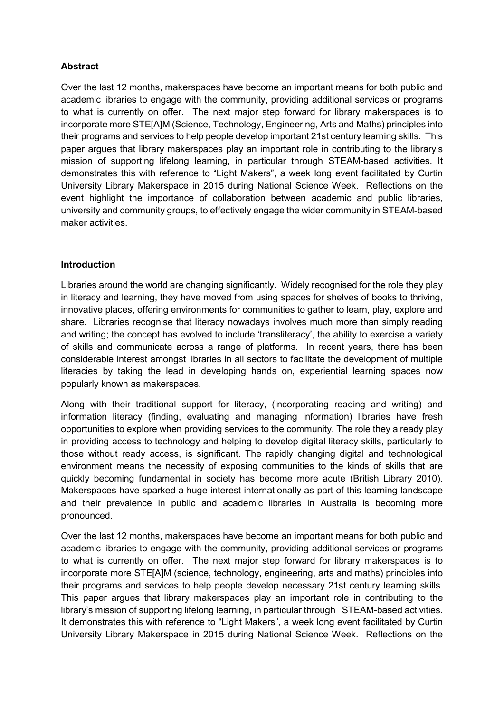## **Abstract**

Over the last 12 months, makerspaces have become an important means for both public and academic libraries to engage with the community, providing additional services or programs to what is currently on offer. The next major step forward for library makerspaces is to incorporate more STE[A]M (Science, Technology, Engineering, Arts and Maths) principles into their programs and services to help people develop important 21st century learning skills. This paper argues that library makerspaces play an important role in contributing to the library's mission of supporting lifelong learning, in particular through STEAM-based activities. It demonstrates this with reference to "Light Makers", a week long event facilitated by Curtin University Library Makerspace in 2015 during National Science Week. Reflections on the event highlight the importance of collaboration between academic and public libraries, university and community groups, to effectively engage the wider community in STEAM-based maker activities.

#### **Introduction**

Libraries around the world are changing significantly. Widely recognised for the role they play in literacy and learning, they have moved from using spaces for shelves of books to thriving, innovative places, offering environments for communities to gather to learn, play, explore and share. Libraries recognise that literacy nowadays involves much more than simply reading and writing; the concept has evolved to include 'transliteracy', the ability to exercise a variety of skills and communicate across a range of platforms. In recent years, there has been considerable interest amongst libraries in all sectors to facilitate the development of multiple literacies by taking the lead in developing hands on, experiential learning spaces now popularly known as makerspaces.

Along with their traditional support for literacy, (incorporating reading and writing) and information literacy (finding, evaluating and managing information) libraries have fresh opportunities to explore when providing services to the community. The role they already play in providing access to technology and helping to develop digital literacy skills, particularly to those without ready access, is significant. The rapidly changing digital and technological environment means the necessity of exposing communities to the kinds of skills that are quickly becoming fundamental in society has become more acute (British Library 2010). Makerspaces have sparked a huge interest internationally as part of this learning landscape and their prevalence in public and academic libraries in Australia is becoming more pronounced.

Over the last 12 months, makerspaces have become an important means for both public and academic libraries to engage with the community, providing additional services or programs to what is currently on offer. The next major step forward for library makerspaces is to incorporate more STE[A]M (science, technology, engineering, arts and maths) principles into their programs and services to help people develop necessary 21st century learning skills. This paper argues that library makerspaces play an important role in contributing to the library's mission of supporting lifelong learning, in particular through STEAM-based activities. It demonstrates this with reference to "Light Makers", a week long event facilitated by Curtin University Library Makerspace in 2015 during National Science Week. Reflections on the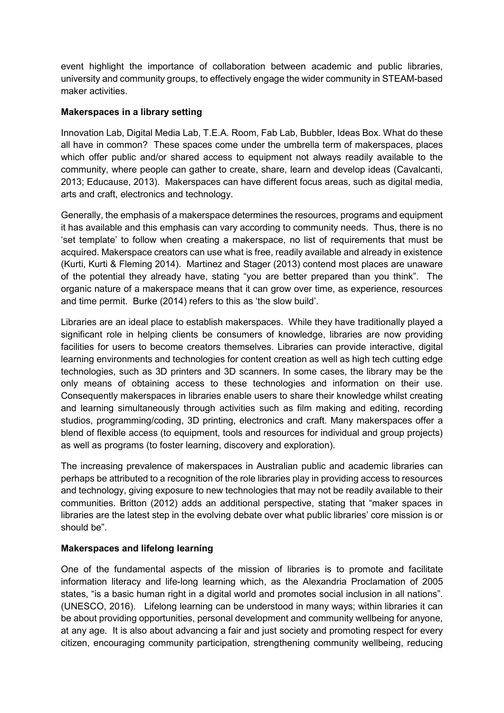event highlight the importance of collaboration between academic and public libraries, university and community groups, to effectively engage the wider community in STEAM-based maker activities.

## **Makerspaces in a library setting**

Innovation Lab, Digital Media Lab, T.E.A. Room, Fab Lab, Bubbler, Ideas Box. What do these all have in common? These spaces come under the umbrella term of makerspaces, places which offer public and/or shared access to equipment not always readily available to the community, where people can gather to create, share, learn and develop ideas (Cavalcanti, 2013; Educause, 2013). Makerspaces can have different focus areas, such as digital media, arts and craft, electronics and technology.

Generally, the emphasis of a makerspace determines the resources, programs and equipment it has available and this emphasis can vary according to community needs. Thus, there is no 'set template' to follow when creating a makerspace, no list of requirements that must be acquired. Makerspace creators can use what is free, readily available and already in existence (Kurti, Kurti & Fleming 2014). Martinez and Stager (2013) contend most places are unaware of the potential they already have, stating "you are better prepared than you think". The organic nature of a makerspace means that it can grow over time, as experience, resources and time permit. Burke (2014) refers to this as 'the slow build'.

Libraries are an ideal place to establish makerspaces. While they have traditionally played a significant role in helping clients be consumers of knowledge, libraries are now providing facilities for users to become creators themselves. Libraries can provide interactive, digital learning environments and technologies for content creation as well as high tech cutting edge technologies, such as 3D printers and 3D scanners. In some cases, the library may be the only means of obtaining access to these technologies and information on their use. Consequently makerspaces in libraries enable users to share their knowledge whilst creating and learning simultaneously through activities such as film making and editing, recording studios, programming/coding, 3D printing, electronics and craft. Many makerspaces offer a blend of flexible access (to equipment, tools and resources for individual and group projects) as well as programs (to foster learning, discovery and exploration).

The increasing prevalence of makerspaces in Australian public and academic libraries can perhaps be attributed to a recognition of the role libraries play in providing access to resources and technology, giving exposure to new technologies that may not be readily available to their communities. Britton (2012) adds an additional perspective, stating that "maker spaces in libraries are the latest step in the evolving debate over what public libraries' core mission is or should be".

# **Makerspaces and lifelong learning**

One of the fundamental aspects of the mission of libraries is to promote and facilitate information literacy and life-long learning which, as the Alexandria Proclamation of 2005 states, "is a basic human right in a digital world and promotes social inclusion in all nations". (UNESCO, 2016). Lifelong learning can be understood in many ways; within libraries it can be about providing opportunities, personal development and community wellbeing for anyone, at any age. It is also about advancing a fair and just society and promoting respect for every citizen, encouraging community participation, strengthening community wellbeing, reducing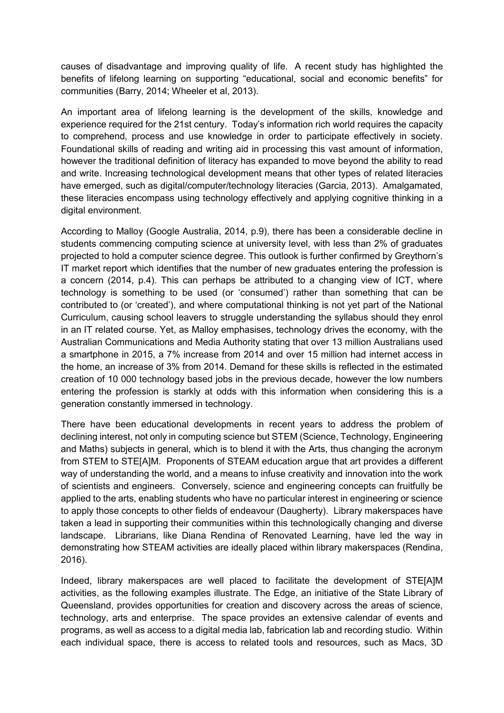causes of disadvantage and improving quality of life. A recent study has highlighted the benefits of lifelong learning on supporting "educational, social and economic benefits" for communities (Barry, 2014; Wheeler et al, 2013).

An important area of lifelong learning is the development of the skills, knowledge and experience required for the 21st century. Today's information rich world requires the capacity to comprehend, process and use knowledge in order to participate effectively in society. Foundational skills of reading and writing aid in processing this vast amount of information, however the traditional definition of literacy has expanded to move beyond the ability to read and write. Increasing technological development means that other types of related literacies have emerged, such as digital/computer/technology literacies (Garcia, 2013). Amalgamated, these literacies encompass using technology effectively and applying cognitive thinking in a digital environment.

According to Malloy (Google Australia, 2014, p.9), there has been a considerable decline in students commencing computing science at university level, with less than 2% of graduates projected to hold a computer science degree. This outlook is further confirmed by Greythorn's IT market report which identifies that the number of new graduates entering the profession is a concern (2014, p.4). This can perhaps be attributed to a changing view of ICT, where technology is something to be used (or 'consumed') rather than something that can be contributed to (or 'created'), and where computational thinking is not yet part of the National Curriculum, causing school leavers to struggle understanding the syllabus should they enrol in an IT related course. Yet, as Malloy emphasises, technology drives the economy, with the Australian Communications and Media Authority stating that over 13 million Australians used a smartphone in 2015, a 7% increase from 2014 and over 15 million had internet access in the home, an increase of 3% from 2014. Demand for these skills is reflected in the estimated creation of 10 000 technology based jobs in the previous decade, however the low numbers entering the profession is starkly at odds with this information when considering this is a generation constantly immersed in technology.

There have been educational developments in recent years to address the problem of declining interest, not only in computing science but STEM (Science, Technology, Engineering and Maths) subjects in general, which is to blend it with the Arts, thus changing the acronym from STEM to STE[A]M. Proponents of STEAM education argue that art provides a different way of understanding the world, and a means to infuse creativity and innovation into the work of scientists and engineers. Conversely, science and engineering concepts can fruitfully be applied to the arts, enabling students who have no particular interest in engineering or science to apply those concepts to other fields of endeavour (Daugherty). Library makerspaces have taken a lead in supporting their communities within this technologically changing and diverse landscape. Librarians, like Diana Rendina of Renovated Learning, have led the way in demonstrating how STEAM activities are ideally placed within library makerspaces (Rendina, 2016).

Indeed, library makerspaces are well placed to facilitate the development of STE[A]M activities, as the following examples illustrate. The Edge, an initiative of the State Library of Queensland, provides opportunities for creation and discovery across the areas of science, technology, arts and enterprise. The space provides an extensive calendar of events and programs, as well as access to a digital media lab, fabrication lab and recording studio. Within each individual space, there is access to related tools and resources, such as Macs, 3D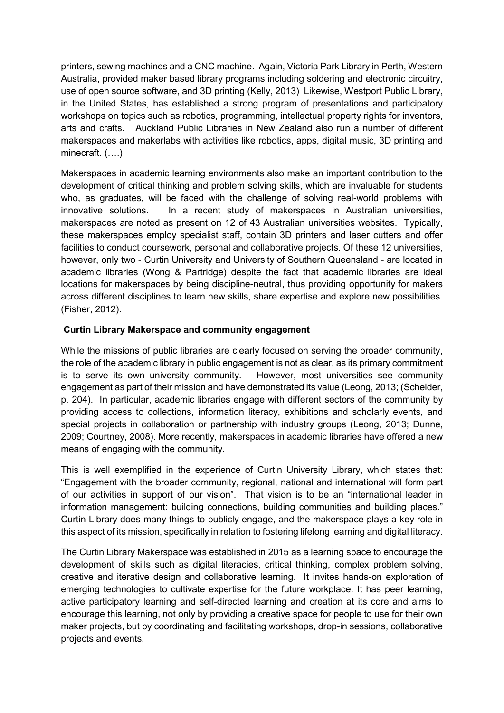printers, sewing machines and a CNC machine. Again, Victoria Park Library in Perth, Western Australia, provided maker based library programs including soldering and electronic circuitry, use of open source software, and 3D printing (Kelly, 2013) Likewise, Westport Public Library, in the United States, has established a strong program of presentations and participatory workshops on topics such as robotics, programming, intellectual property rights for inventors, arts and crafts. Auckland Public Libraries in New Zealand also run a number of different makerspaces and makerlabs with activities like robotics, apps, digital music, 3D printing and minecraft. (….)

Makerspaces in academic learning environments also make an important contribution to the development of critical thinking and problem solving skills, which are invaluable for students who, as graduates, will be faced with the challenge of solving real-world problems with innovative solutions. In a recent study of makerspaces in Australian universities, makerspaces are noted as present on 12 of 43 Australian universities websites. Typically, these makerspaces employ specialist staff, contain 3D printers and laser cutters and offer facilities to conduct coursework, personal and collaborative projects. Of these 12 universities, however, only two - Curtin University and University of Southern Queensland - are located in academic libraries (Wong & Partridge) despite the fact that academic libraries are ideal locations for makerspaces by being discipline-neutral, thus providing opportunity for makers across different disciplines to learn new skills, share expertise and explore new possibilities. (Fisher, 2012).

# **Curtin Library Makerspace and community engagement**

While the missions of public libraries are clearly focused on serving the broader community, the role of the academic library in public engagement is not as clear, as its primary commitment is to serve its own university community. However, most universities see community engagement as part of their mission and have demonstrated its value (Leong, 2013; (Scheider, p. 204). In particular, academic libraries engage with different sectors of the community by providing access to collections, information literacy, exhibitions and scholarly events, and special projects in collaboration or partnership with industry groups (Leong, 2013; Dunne, 2009; Courtney, 2008). More recently, makerspaces in academic libraries have offered a new means of engaging with the community.

This is well exemplified in the experience of Curtin University Library, which states that: "Engagement with the broader community, regional, national and international will form part of our activities in support of our vision". That vision is to be an "international leader in information management: building connections, building communities and building places." Curtin Library does many things to publicly engage, and the makerspace plays a key role in this aspect of its mission, specifically in relation to fostering lifelong learning and digital literacy.

The Curtin Library Makerspace was established in 2015 as a learning space to encourage the development of skills such as digital literacies, critical thinking, complex problem solving, creative and iterative design and collaborative learning. It invites hands-on exploration of emerging technologies to cultivate expertise for the future workplace. It has peer learning, active participatory learning and self-directed learning and creation at its core and aims to encourage this learning, not only by providing a creative space for people to use for their own maker projects, but by coordinating and facilitating workshops, drop-in sessions, collaborative projects and events.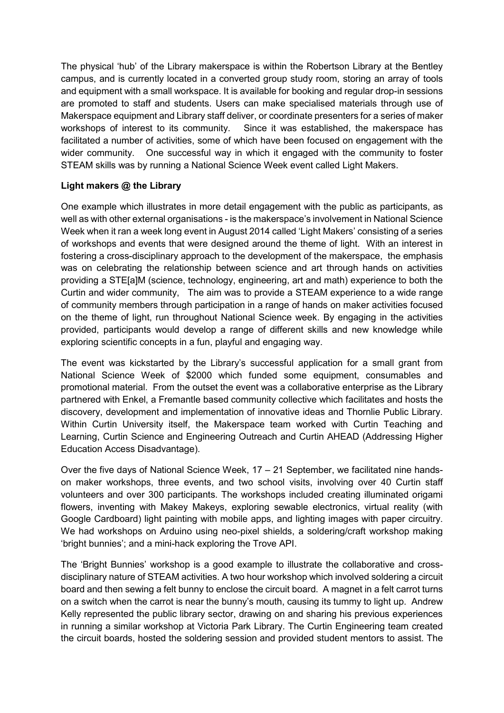The physical 'hub' of the Library makerspace is within the Robertson Library at the Bentley campus, and is currently located in a converted group study room, storing an array of tools and equipment with a small workspace. It is available for booking and regular drop-in sessions are promoted to staff and students. Users can make specialised materials through use of Makerspace equipment and Library staff deliver, or coordinate presenters for a series of maker workshops of interest to its community. Since it was established, the makerspace has facilitated a number of activities, some of which have been focused on engagement with the wider community. One successful way in which it engaged with the community to foster STEAM skills was by running a National Science Week event called Light Makers.

# **Light makers @ the Library**

One example which illustrates in more detail engagement with the public as participants, as well as with other external organisations - is the makerspace's involvement in National Science Week when it ran a week long event in August 2014 called 'Light Makers' consisting of a series of workshops and events that were designed around the theme of light. With an interest in fostering a cross-disciplinary approach to the development of the makerspace, the emphasis was on celebrating the relationship between science and art through hands on activities providing a STE[a]M (science, technology, engineering, art and math) experience to both the Curtin and wider community, The aim was to provide a STEAM experience to a wide range of community members through participation in a range of hands on maker activities focused on the theme of light, run throughout National Science week. By engaging in the activities provided, participants would develop a range of different skills and new knowledge while exploring scientific concepts in a fun, playful and engaging way.

The event was kickstarted by the Library's successful application for a small grant from National Science Week of \$2000 which funded some equipment, consumables and promotional material. From the outset the event was a collaborative enterprise as the Library partnered with Enkel, a Fremantle based community collective which facilitates and hosts the discovery, development and implementation of innovative ideas and Thornlie Public Library. Within Curtin University itself, the Makerspace team worked with Curtin Teaching and Learning, Curtin Science and Engineering Outreach and Curtin AHEAD (Addressing Higher Education Access Disadvantage).

Over the five days of National Science Week, 17 – 21 September, we facilitated nine handson maker workshops, three events, and two school visits, involving over 40 Curtin staff volunteers and over 300 participants. The workshops included creating illuminated origami flowers, inventing with Makey Makeys, exploring sewable electronics, virtual reality (with Google Cardboard) light painting with mobile apps, and lighting images with paper circuitry. We had workshops on Arduino using neo-pixel shields, a soldering/craft workshop making 'bright bunnies'; and a mini-hack exploring the Trove API.

The 'Bright Bunnies' workshop is a good example to illustrate the collaborative and crossdisciplinary nature of STEAM activities. A two hour workshop which involved soldering a circuit board and then sewing a felt bunny to enclose the circuit board. A magnet in a felt carrot turns on a switch when the carrot is near the bunny's mouth, causing its tummy to light up. Andrew Kelly represented the public library sector, drawing on and sharing his previous experiences in running a similar workshop at Victoria Park Library. The Curtin Engineering team created the circuit boards, hosted the soldering session and provided student mentors to assist. The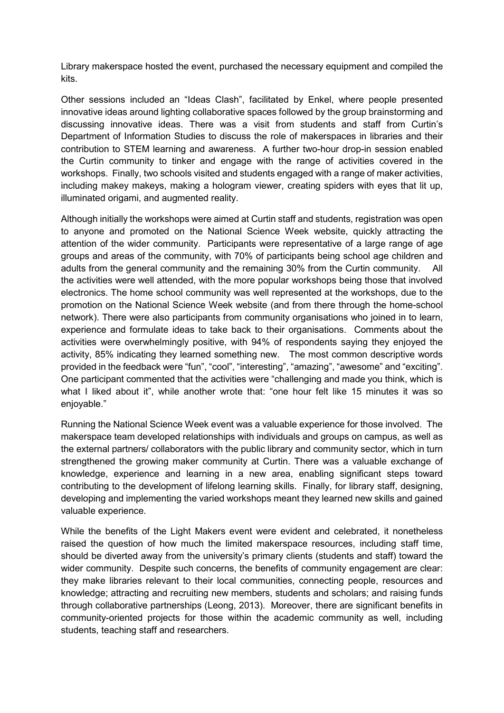Library makerspace hosted the event, purchased the necessary equipment and compiled the kits.

Other sessions included an "Ideas Clash", facilitated by Enkel, where people presented innovative ideas around lighting collaborative spaces followed by the group brainstorming and discussing innovative ideas. There was a visit from students and staff from Curtin's Department of Information Studies to discuss the role of makerspaces in libraries and their contribution to STEM learning and awareness. A further two-hour drop-in session enabled the Curtin community to tinker and engage with the range of activities covered in the workshops. Finally, two schools visited and students engaged with a range of maker activities, including makey makeys, making a hologram viewer, creating spiders with eyes that lit up, illuminated origami, and augmented reality.

Although initially the workshops were aimed at Curtin staff and students, registration was open to anyone and promoted on the National Science Week website, quickly attracting the attention of the wider community. Participants were representative of a large range of age groups and areas of the community, with 70% of participants being school age children and adults from the general community and the remaining 30% from the Curtin community. All the activities were well attended, with the more popular workshops being those that involved electronics. The home school community was well represented at the workshops, due to the promotion on the National Science Week website (and from there through the home-school network). There were also participants from community organisations who joined in to learn, experience and formulate ideas to take back to their organisations. Comments about the activities were overwhelmingly positive, with 94% of respondents saying they enjoyed the activity, 85% indicating they learned something new. The most common descriptive words provided in the feedback were "fun", "cool", "interesting", "amazing", "awesome" and "exciting". One participant commented that the activities were "challenging and made you think, which is what I liked about it", while another wrote that: "one hour felt like 15 minutes it was so enjoyable."

Running the National Science Week event was a valuable experience for those involved. The makerspace team developed relationships with individuals and groups on campus, as well as the external partners/ collaborators with the public library and community sector, which in turn strengthened the growing maker community at Curtin. There was a valuable exchange of knowledge, experience and learning in a new area, enabling significant steps toward contributing to the development of lifelong learning skills. Finally, for library staff, designing, developing and implementing the varied workshops meant they learned new skills and gained valuable experience.

While the benefits of the Light Makers event were evident and celebrated, it nonetheless raised the question of how much the limited makerspace resources, including staff time, should be diverted away from the university's primary clients (students and staff) toward the wider community. Despite such concerns, the benefits of community engagement are clear: they make libraries relevant to their local communities, connecting people, resources and knowledge; attracting and recruiting new members, students and scholars; and raising funds through collaborative partnerships (Leong, 2013). Moreover, there are significant benefits in community-oriented projects for those within the academic community as well, including students, teaching staff and researchers.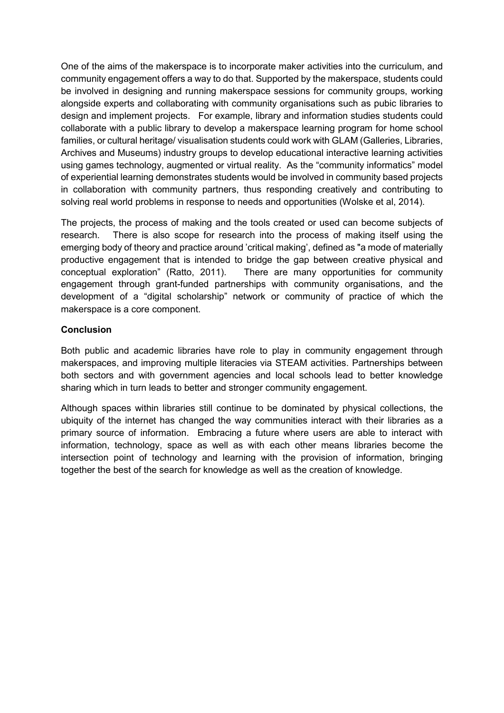One of the aims of the makerspace is to incorporate maker activities into the curriculum, and community engagement offers a way to do that. Supported by the makerspace, students could be involved in designing and running makerspace sessions for community groups, working alongside experts and collaborating with community organisations such as pubic libraries to design and implement projects. For example, library and information studies students could collaborate with a public library to develop a makerspace learning program for home school families, or cultural heritage/ visualisation students could work with GLAM (Galleries, Libraries, Archives and Museums) industry groups to develop educational interactive learning activities using games technology, augmented or virtual reality. As the "community informatics" model of experiential learning demonstrates students would be involved in community based projects in collaboration with community partners, thus responding creatively and contributing to solving real world problems in response to needs and opportunities (Wolske et al, 2014).

The projects, the process of making and the tools created or used can become subjects of research. There is also scope for research into the process of making itself using the emerging body of theory and practice around 'critical making', defined as "a mode of materially productive engagement that is intended to bridge the gap between creative physical and conceptual exploration" (Ratto, 2011). There are many opportunities for community engagement through grant-funded partnerships with community organisations, and the development of a "digital scholarship" network or community of practice of which the makerspace is a core component.

### **Conclusion**

Both public and academic libraries have role to play in community engagement through makerspaces, and improving multiple literacies via STEAM activities. Partnerships between both sectors and with government agencies and local schools lead to better knowledge sharing which in turn leads to better and stronger community engagement.

Although spaces within libraries still continue to be dominated by physical collections, the ubiquity of the internet has changed the way communities interact with their libraries as a primary source of information. Embracing a future where users are able to interact with information, technology, space as well as with each other means libraries become the intersection point of technology and learning with the provision of information, bringing together the best of the search for knowledge as well as the creation of knowledge.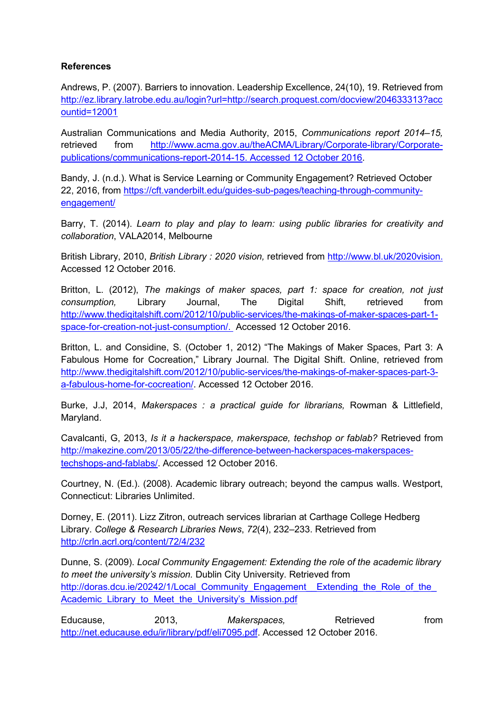## **References**

Andrews, P. (2007). Barriers to innovation. Leadership Excellence, 24(10), 19. Retrieved from [http://ez.library.latrobe.edu.au/login?url=http://search.proquest.com/docview/204633313?acc](http://ez.library.latrobe.edu.au/login?url=http://search.proquest.com/docview/204633313?accountid=12001) [ountid=12001](http://ez.library.latrobe.edu.au/login?url=http://search.proquest.com/docview/204633313?accountid=12001)

Australian Communications and Media Authority, 2015, *Communications report 2014–15,*  retrieved from [http://www.acma.gov.au/theACMA/Library/Corporate-library/Corporate](http://www.acma.gov.au/theACMA/Library/Corporate-library/Corporate-publications/communications-report-2014-15.%20Accessed%2012%20October%202016)[publications/communications-report-2014-15. Accessed 12 October 2016.](http://www.acma.gov.au/theACMA/Library/Corporate-library/Corporate-publications/communications-report-2014-15.%20Accessed%2012%20October%202016)

Bandy, J. (n.d.). What is Service Learning or Community Engagement? Retrieved October 22, 2016, from [https://cft.vanderbilt.edu/guides-sub-pages/teaching-through-community](https://cft.vanderbilt.edu/guides-sub-pages/teaching-through-community-engagement/)[engagement/](https://cft.vanderbilt.edu/guides-sub-pages/teaching-through-community-engagement/)

Barry, T. (2014). *Learn to play and play to learn: using public libraries for creativity and collaboration*, VALA2014, Melbourne

British Library, 2010, *British Library : 2020 vision,* retrieved from [http://www.bl.uk/2020vision.](http://www.bl.uk/2020vision) Accessed 12 October 2016.

Britton, L. (2012), *The makings of maker spaces, part 1: space for creation, not just consumption,* Library Journal, The Digital Shift, retrieved from [http://www.thedigitalshift.com/2012/10/public-services/the-makings-of-maker-spaces-part-1](http://www.thedigitalshift.com/2012/10/public-services/the-makings-of-maker-spaces-part-1-space-for-creation-not-just-consumption/) [space-for-creation-not-just-consumption/.](http://www.thedigitalshift.com/2012/10/public-services/the-makings-of-maker-spaces-part-1-space-for-creation-not-just-consumption/) Accessed 12 October 2016.

Britton, L. and Considine, S. (October 1, 2012) "The Makings of Maker Spaces, Part 3: A Fabulous Home for Cocreation," Library Journal. The Digital Shift. Online, retrieved from [http://www.thedigitalshift.com/2012/10/public-services/the-makings-of-maker-spaces-part-3](http://www.thedigitalshift.com/2012/10/public-services/the-makings-of-maker-spaces-part-3-a-fabulous-home-for-cocreation/) [a-fabulous-home-for-cocreation/.](http://www.thedigitalshift.com/2012/10/public-services/the-makings-of-maker-spaces-part-3-a-fabulous-home-for-cocreation/) Accessed 12 October 2016.

Burke, J.J, 2014, *Makerspaces : a practical guide for librarians,* Rowman & Littlefield, Maryland.

Cavalcanti, G, 2013, *Is it a hackerspace, makerspace, techshop or fablab?* Retrieved from [http://makezine.com/2013/05/22/the-difference-between-hackerspaces-makerspaces](http://makezine.com/2013/05/22/the-difference-between-hackerspaces-makerspaces-techshops-and-fablabs/)[techshops-and-fablabs/.](http://makezine.com/2013/05/22/the-difference-between-hackerspaces-makerspaces-techshops-and-fablabs/) Accessed 12 October 2016.

Courtney, N. (Ed.). (2008). Academic library outreach; beyond the campus walls. Westport, Connecticut: Libraries Unlimited.

Dorney, E. (2011). Lizz Zitron, outreach services librarian at Carthage College Hedberg Library. *College & Research Libraries News*, *72*(4), 232–233. Retrieved from <http://crln.acrl.org/content/72/4/232>

Dunne, S. (2009). *Local Community Engagement: Extending the role of the academic library to meet the university's mission.* Dublin City University. Retrieved from http://doras.dcu.ie/20242/1/Local Community Engagement Extending the Role of the [Academic\\_Library\\_to\\_Meet\\_the\\_University's\\_Mission.pdf](http://doras.dcu.ie/20242/1/Local_Community_Engagement__Extending_the_Role_of_the_Academic_Library_to_Meet_the_University)

Educause, 2013, Makerspaces, Retrieved from [http://net.educause.edu/ir/library/pdf/eli7095.pdf.](http://net.educause.edu/ir/library/pdf/eli7095.pdf) Accessed 12 October 2016.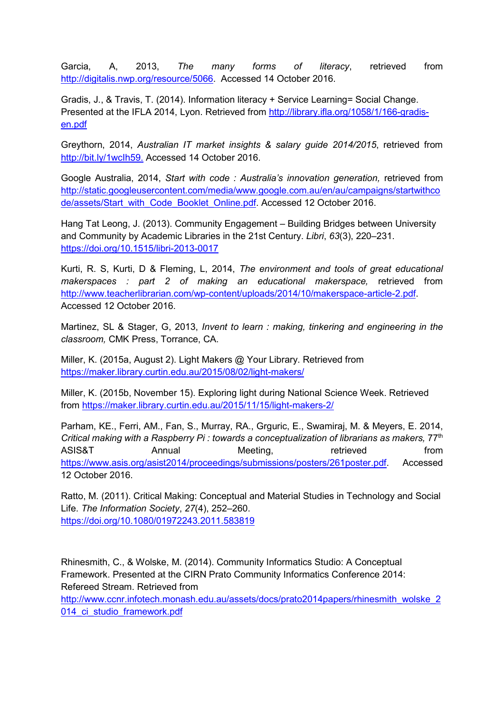Garcia, A, 2013, *The many forms of literacy*, retrieved from [http://digitalis.nwp.org/resource/5066.](http://digitalis.nwp.org/resource/5066) Accessed 14 October 2016.

Gradis, J., & Travis, T. (2014). Information literacy + Service Learning= Social Change. Presented at the IFLA 2014, Lyon. Retrieved from [http://library.ifla.org/1058/1/166-gradis](http://library.ifla.org/1058/1/166-gradis-en.pdf)[en.pdf](http://library.ifla.org/1058/1/166-gradis-en.pdf)

Greythorn, 2014, *Australian IT market insights & salary guide 2014/2015*, retrieved from [http://bit.ly/1wcIh59.](http://bit.ly/1wcIh59) Accessed 14 October 2016.

Google Australia, 2014, *Start with code : Australia's innovation generation,* retrieved from [http://static.googleusercontent.com/media/www.google.com.au/en/au/campaigns/startwithco](http://static.googleusercontent.com/media/www.google.com.au/en/au/campaigns/startwithcode/assets/Start_with_Code_Booklet_Online.pdf) [de/assets/Start\\_with\\_Code\\_Booklet\\_Online.pdf.](http://static.googleusercontent.com/media/www.google.com.au/en/au/campaigns/startwithcode/assets/Start_with_Code_Booklet_Online.pdf) Accessed 12 October 2016.

Hang Tat Leong, J. (2013). Community Engagement – Building Bridges between University and Community by Academic Libraries in the 21st Century. *Libri*, *63*(3), 220–231. <https://doi.org/10.1515/libri-2013-0017>

Kurti, R. S, Kurti, D & Fleming, L, 2014, *The environment and tools of great educational makerspaces : part 2 of making an educational makerspace,* retrieved from [http://www.teacherlibrarian.com/wp-content/uploads/2014/10/makerspace-article-2.pdf.](http://www.teacherlibrarian.com/wp-content/uploads/2014/10/makerspace-article-2.pdf) Accessed 12 October 2016.

Martinez, SL & Stager, G, 2013, *Invent to learn : making, tinkering and engineering in the classroom,* CMK Press, Torrance, CA.

Miller, K. (2015a, August 2). Light Makers @ Your Library. Retrieved from <https://maker.library.curtin.edu.au/2015/08/02/light-makers/>

Miller, K. (2015b, November 15). Exploring light during National Science Week. Retrieved from<https://maker.library.curtin.edu.au/2015/11/15/light-makers-2/>

Parham, KE., Ferri, AM., Fan, S., Murray, RA., Grguric, E., Swamiraj, M. & Meyers, E. 2014, *Critical making with a Raspberry Pi : towards a conceptualization of librarians as makers, 77<sup>th</sup>* ASIS&T Annual Meeting, retrieved from [https://www.asis.org/asist2014/proceedings/submissions/posters/261poster.pdf.](https://www.asis.org/asist2014/proceedings/submissions/posters/261poster.pdf) Accessed 12 October 2016.

Ratto, M. (2011). Critical Making: Conceptual and Material Studies in Technology and Social Life. *The Information Society*, *27*(4), 252–260. <https://doi.org/10.1080/01972243.2011.583819>

Rhinesmith, C., & Wolske, M. (2014). Community Informatics Studio: A Conceptual Framework. Presented at the CIRN Prato Community Informatics Conference 2014: Refereed Stream. Retrieved from [http://www.ccnr.infotech.monash.edu.au/assets/docs/prato2014papers/rhinesmith\\_wolske\\_2](http://www.ccnr.infotech.monash.edu.au/assets/docs/prato2014papers/rhinesmith_wolske_2014_ci_studio_framework.pdf) 014 ci studio framework.pdf